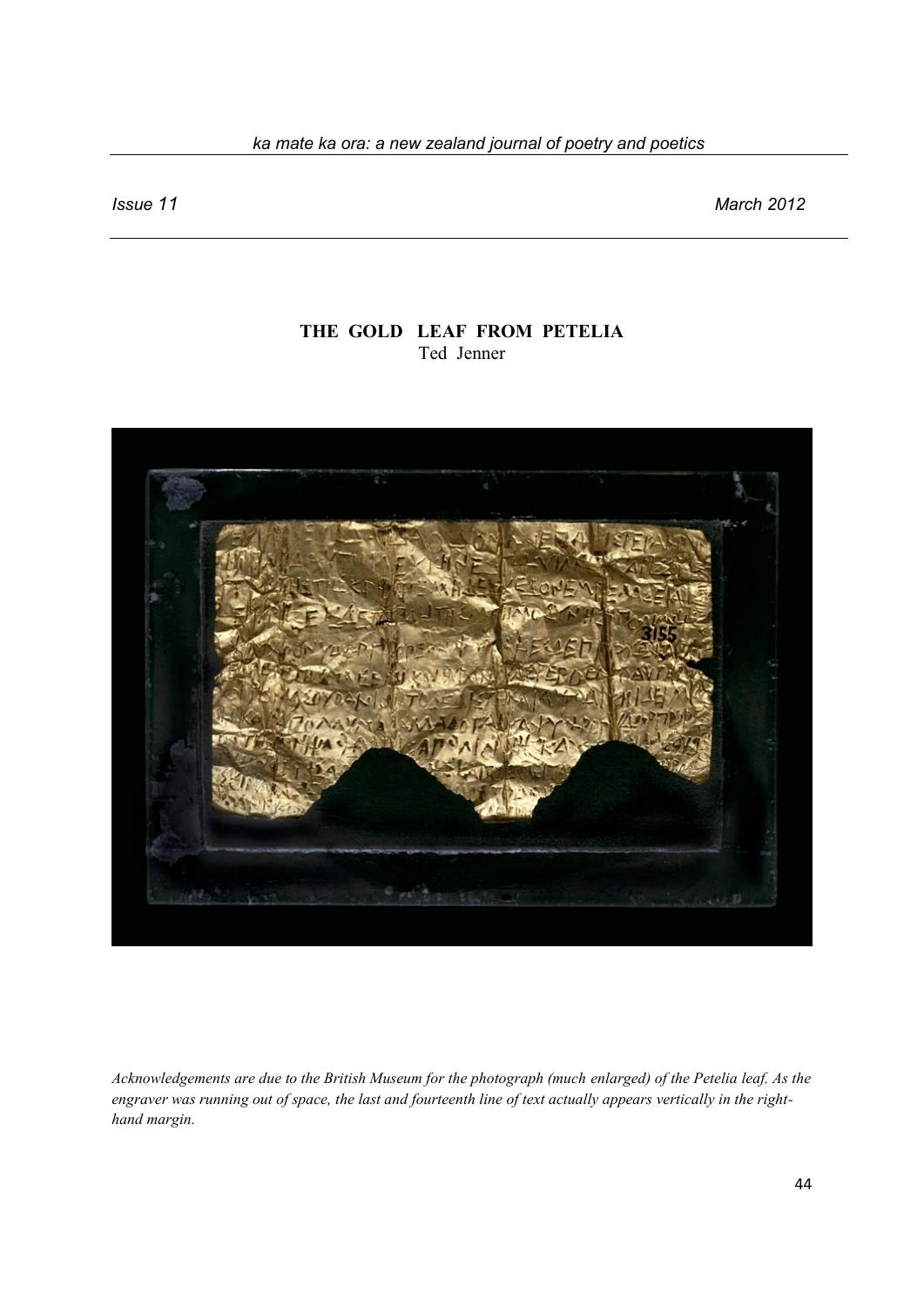## *ka mate ka ora: a new zealand journal of poetry and poetics*

*Issue 11 March 2012*

# **THE GOLD LEAF FROM PETELIA** Ted Jenner



*Acknowledgements are due to the British Museum for the photograph (much enlarged) of the Petelia leaf. As the engraver was running out of space, the last and fourteenth line of text actually appears vertically in the righthand margin.*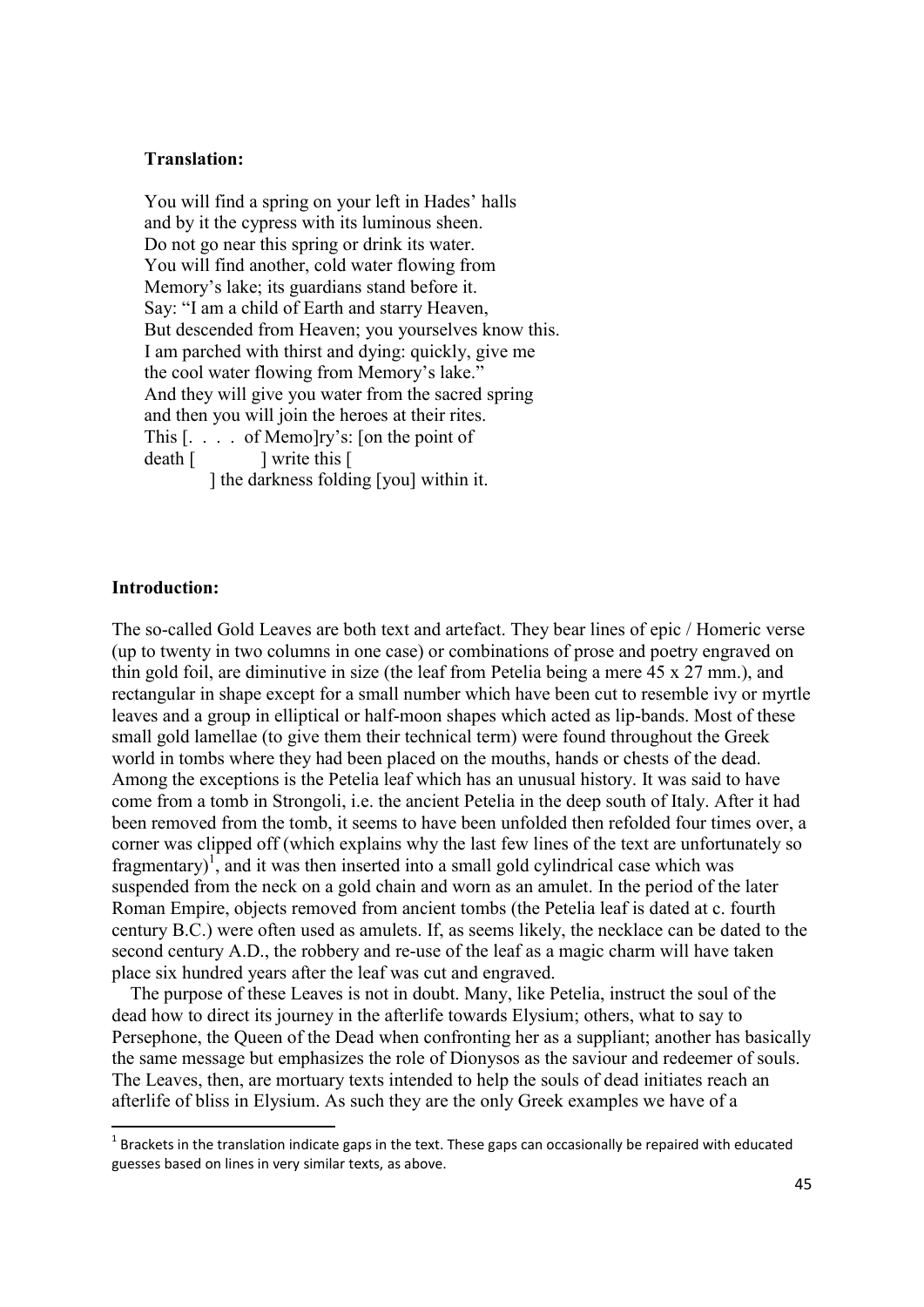#### **Translation:**

 You will find a spring on your left in Hades' halls and by it the cypress with its luminous sheen. Do not go near this spring or drink its water. You will find another, cold water flowing from Memory's lake; its guardians stand before it. Say: "I am a child of Earth and starry Heaven, But descended from Heaven; you yourselves know this. I am parched with thirst and dying: quickly, give me the cool water flowing from Memory's lake." And they will give you water from the sacred spring and then you will join the heroes at their rites. This [. . . . of Memo]ry's: [on the point of death [ ] write this [ ] the darkness folding [you] within it.

#### **Introduction:**

**.** 

The so-called Gold Leaves are both text and artefact. They bear lines of epic / Homeric verse (up to twenty in two columns in one case) or combinations of prose and poetry engraved on thin gold foil, are diminutive in size (the leaf from Petelia being a mere 45 x 27 mm.), and rectangular in shape except for a small number which have been cut to resemble ivy or myrtle leaves and a group in elliptical or half-moon shapes which acted as lip-bands. Most of these small gold lamellae (to give them their technical term) were found throughout the Greek world in tombs where they had been placed on the mouths, hands or chests of the dead. Among the exceptions is the Petelia leaf which has an unusual history. It was said to have come from a tomb in Strongoli, i.e. the ancient Petelia in the deep south of Italy. After it had been removed from the tomb, it seems to have been unfolded then refolded four times over, a corner was clipped off (which explains why the last few lines of the text are unfortunately so fragmentary $1$ , and it was then inserted into a small gold cylindrical case which was suspended from the neck on a gold chain and worn as an amulet. In the period of the later Roman Empire, objects removed from ancient tombs (the Petelia leaf is dated at c. fourth century B.C.) were often used as amulets. If, as seems likely, the necklace can be dated to the second century A.D., the robbery and re-use of the leaf as a magic charm will have taken place six hundred years after the leaf was cut and engraved.

 The purpose of these Leaves is not in doubt. Many, like Petelia, instruct the soul of the dead how to direct its journey in the afterlife towards Elysium; others, what to say to Persephone, the Queen of the Dead when confronting her as a suppliant; another has basically the same message but emphasizes the role of Dionysos as the saviour and redeemer of souls. The Leaves, then, are mortuary texts intended to help the souls of dead initiates reach an afterlife of bliss in Elysium. As such they are the only Greek examples we have of a

 $1$  Brackets in the translation indicate gaps in the text. These gaps can occasionally be repaired with educated guesses based on lines in very similar texts, as above.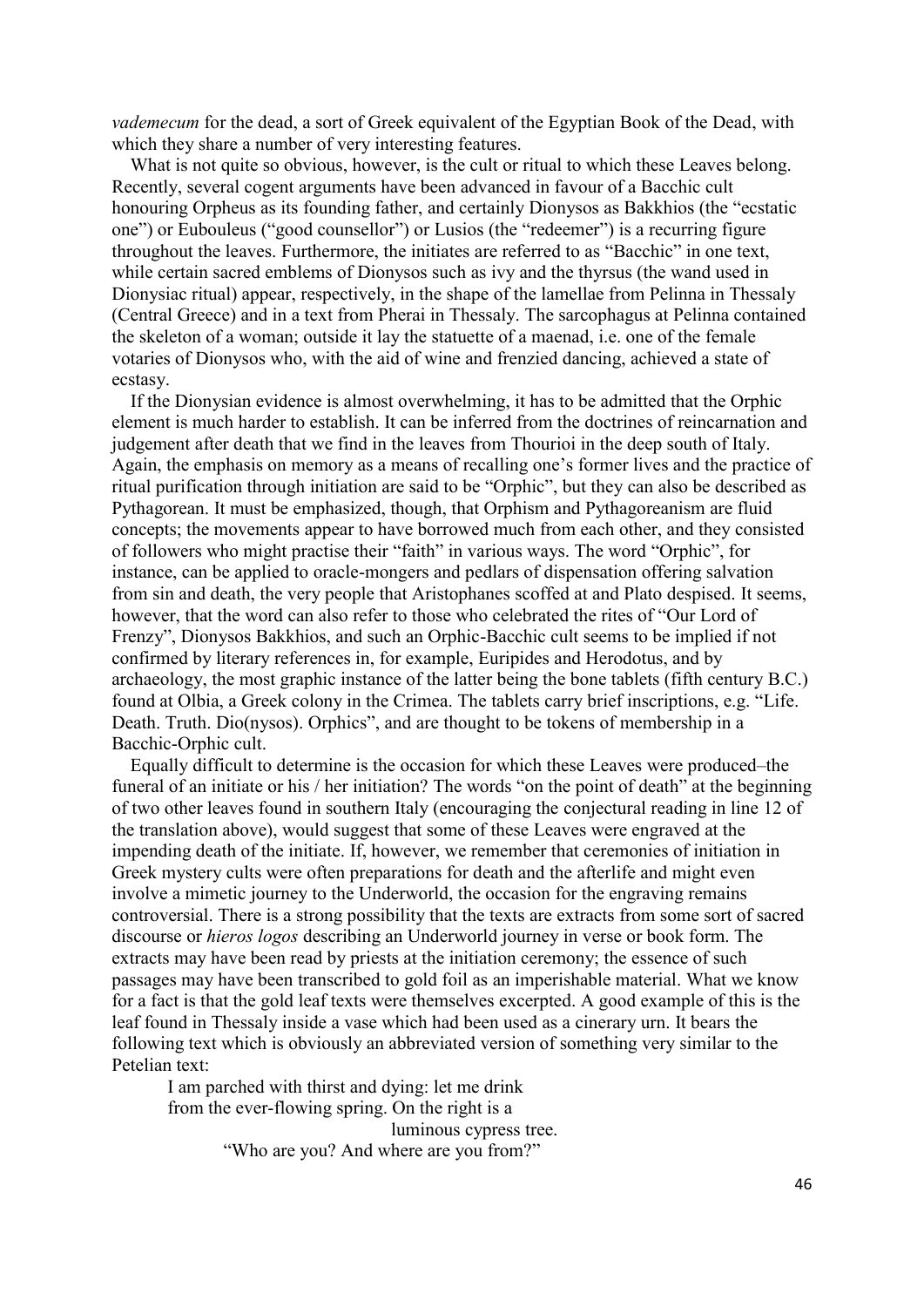*vademecum* for the dead, a sort of Greek equivalent of the Egyptian Book of the Dead, with which they share a number of very interesting features.

What is not quite so obvious, however, is the cult or ritual to which these Leaves belong. Recently, several cogent arguments have been advanced in favour of a Bacchic cult honouring Orpheus as its founding father, and certainly Dionysos as Bakkhios (the "ecstatic one") or Eubouleus ("good counsellor") or Lusios (the "redeemer") is a recurring figure throughout the leaves. Furthermore, the initiates are referred to as "Bacchic" in one text, while certain sacred emblems of Dionysos such as ivy and the thyrsus (the wand used in Dionysiac ritual) appear, respectively, in the shape of the lamellae from Pelinna in Thessaly (Central Greece) and in a text from Pherai in Thessaly. The sarcophagus at Pelinna contained the skeleton of a woman; outside it lay the statuette of a maenad, i.e. one of the female votaries of Dionysos who, with the aid of wine and frenzied dancing, achieved a state of ecstasy.

 If the Dionysian evidence is almost overwhelming, it has to be admitted that the Orphic element is much harder to establish. It can be inferred from the doctrines of reincarnation and judgement after death that we find in the leaves from Thourioi in the deep south of Italy. Again, the emphasis on memory as a means of recalling one's former lives and the practice of ritual purification through initiation are said to be "Orphic", but they can also be described as Pythagorean. It must be emphasized, though, that Orphism and Pythagoreanism are fluid concepts; the movements appear to have borrowed much from each other, and they consisted of followers who might practise their "faith" in various ways. The word "Orphic", for instance, can be applied to oracle-mongers and pedlars of dispensation offering salvation from sin and death, the very people that Aristophanes scoffed at and Plato despised. It seems, however, that the word can also refer to those who celebrated the rites of "Our Lord of Frenzy", Dionysos Bakkhios, and such an Orphic-Bacchic cult seems to be implied if not confirmed by literary references in, for example, Euripides and Herodotus, and by archaeology, the most graphic instance of the latter being the bone tablets (fifth century B.C.) found at Olbia, a Greek colony in the Crimea. The tablets carry brief inscriptions, e.g. "Life. Death. Truth. Dio(nysos). Orphics", and are thought to be tokens of membership in a Bacchic-Orphic cult.

 Equally difficult to determine is the occasion for which these Leaves were produced–the funeral of an initiate or his / her initiation? The words "on the point of death" at the beginning of two other leaves found in southern Italy (encouraging the conjectural reading in line 12 of the translation above), would suggest that some of these Leaves were engraved at the impending death of the initiate. If, however, we remember that ceremonies of initiation in Greek mystery cults were often preparations for death and the afterlife and might even involve a mimetic journey to the Underworld, the occasion for the engraving remains controversial. There is a strong possibility that the texts are extracts from some sort of sacred discourse or *hieros logos* describing an Underworld journey in verse or book form. The extracts may have been read by priests at the initiation ceremony; the essence of such passages may have been transcribed to gold foil as an imperishable material. What we know for a fact is that the gold leaf texts were themselves excerpted. A good example of this is the leaf found in Thessaly inside a vase which had been used as a cinerary urn. It bears the following text which is obviously an abbreviated version of something very similar to the Petelian text:

I am parched with thirst and dying: let me drink from the ever-flowing spring. On the right is a luminous cypress tree. "Who are you? And where are you from?"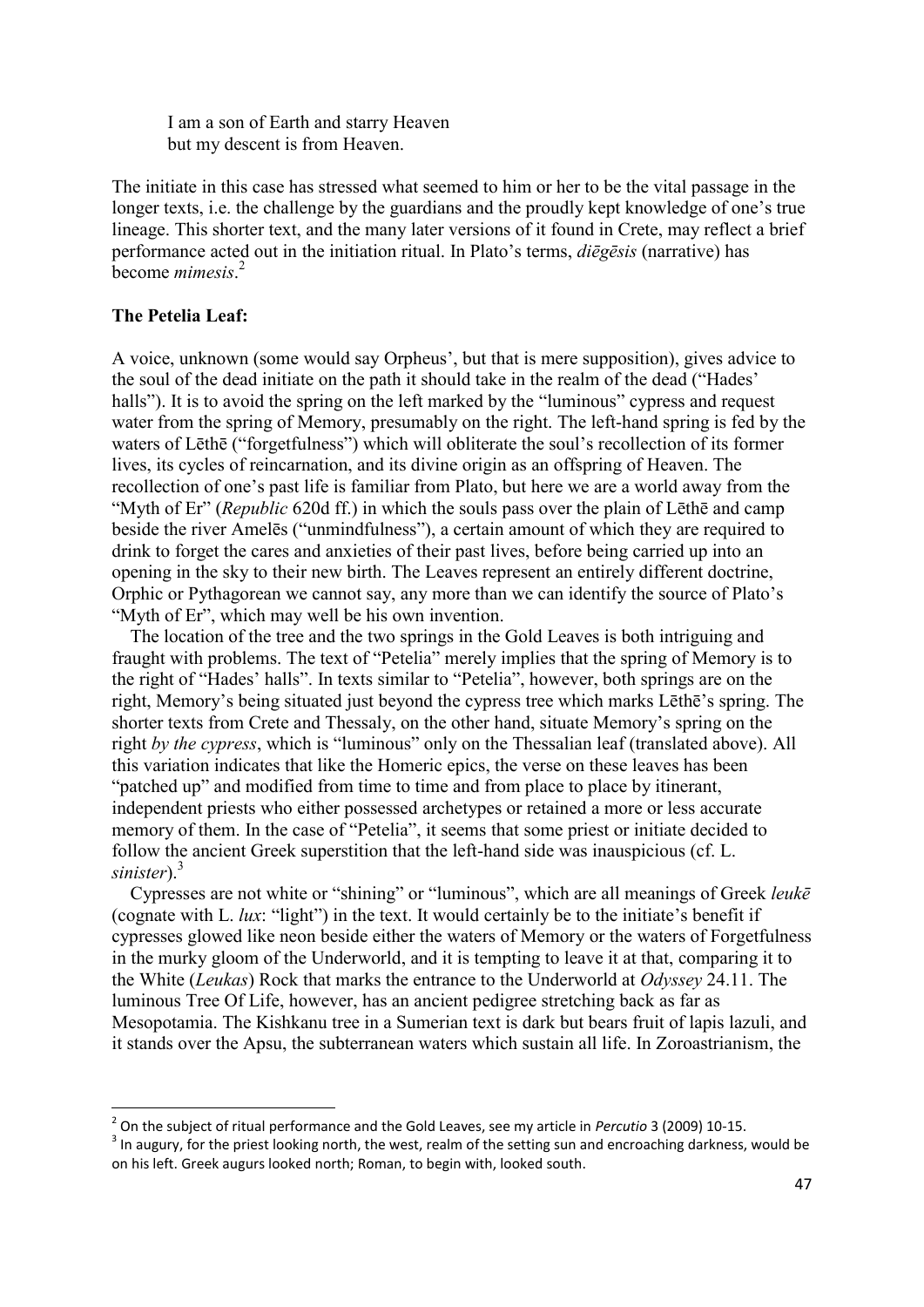I am a son of Earth and starry Heaven but my descent is from Heaven.

The initiate in this case has stressed what seemed to him or her to be the vital passage in the longer texts, i.e. the challenge by the guardians and the proudly kept knowledge of one's true lineage. This shorter text, and the many later versions of it found in Crete, may reflect a brief performance acted out in the initiation ritual. In Plato's terms, *diēgēsis* (narrative) has become *mimesis*. 2

# **The Petelia Leaf:**

**.** 

A voice, unknown (some would say Orpheus', but that is mere supposition), gives advice to the soul of the dead initiate on the path it should take in the realm of the dead ("Hades' halls"). It is to avoid the spring on the left marked by the "luminous" cypress and request water from the spring of Memory, presumably on the right. The left-hand spring is fed by the waters of Lēthē ("forgetfulness") which will obliterate the soul's recollection of its former lives, its cycles of reincarnation, and its divine origin as an offspring of Heaven. The recollection of one's past life is familiar from Plato, but here we are a world away from the "Myth of Er" (*Republic* 620d ff.) in which the souls pass over the plain of Lēthē and camp beside the river Amelēs ("unmindfulness"), a certain amount of which they are required to drink to forget the cares and anxieties of their past lives, before being carried up into an opening in the sky to their new birth. The Leaves represent an entirely different doctrine, Orphic or Pythagorean we cannot say, any more than we can identify the source of Plato's "Myth of Er", which may well be his own invention.

 The location of the tree and the two springs in the Gold Leaves is both intriguing and fraught with problems. The text of "Petelia" merely implies that the spring of Memory is to the right of "Hades' halls". In texts similar to "Petelia", however, both springs are on the right, Memory's being situated just beyond the cypress tree which marks Lēthē's spring. The shorter texts from Crete and Thessaly, on the other hand, situate Memory's spring on the right *by the cypress*, which is "luminous" only on the Thessalian leaf (translated above). All this variation indicates that like the Homeric epics, the verse on these leaves has been "patched up" and modified from time to time and from place to place by itinerant, independent priests who either possessed archetypes or retained a more or less accurate memory of them. In the case of "Petelia", it seems that some priest or initiate decided to follow the ancient Greek superstition that the left-hand side was inauspicious (cf. L. *sinister*).<sup>3</sup>

 Cypresses are not white or "shining" or "luminous", which are all meanings of Greek *leukē* (cognate with L. *lux*: "light") in the text. It would certainly be to the initiate's benefit if cypresses glowed like neon beside either the waters of Memory or the waters of Forgetfulness in the murky gloom of the Underworld, and it is tempting to leave it at that, comparing it to the White (*Leukas*) Rock that marks the entrance to the Underworld at *Odyssey* 24.11. The luminous Tree Of Life, however, has an ancient pedigree stretching back as far as Mesopotamia. The Kishkanu tree in a Sumerian text is dark but bears fruit of lapis lazuli, and it stands over the Apsu, the subterranean waters which sustain all life. In Zoroastrianism, the

<sup>2</sup> On the subject of ritual performance and the Gold Leaves, see my article in *Percutio* 3 (2009) 10-15.

 $3$  In augury, for the priest looking north, the west, realm of the setting sun and encroaching darkness, would be on his left. Greek augurs looked north; Roman, to begin with, looked south.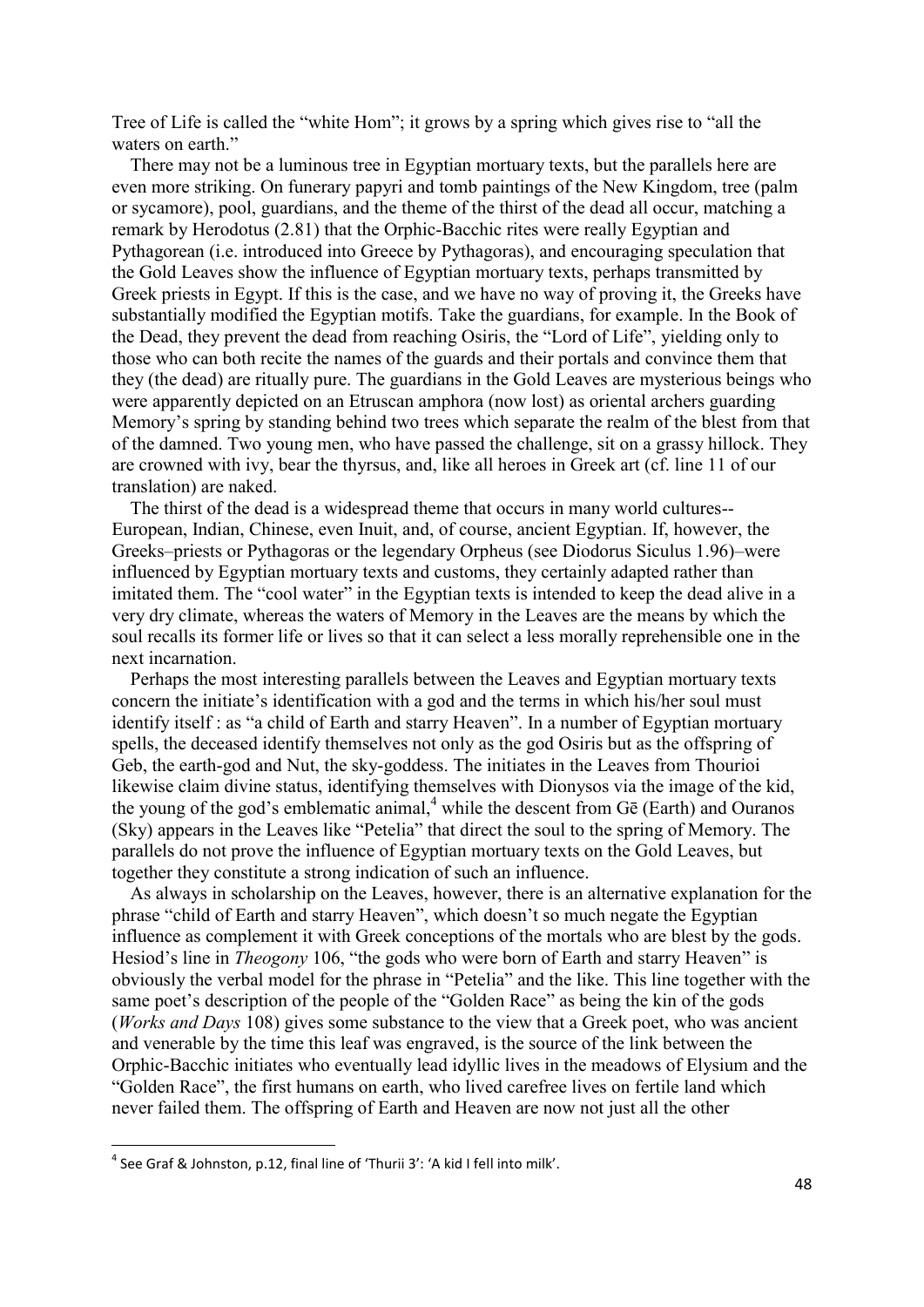Tree of Life is called the "white Hom"; it grows by a spring which gives rise to "all the waters on earth."

 There may not be a luminous tree in Egyptian mortuary texts, but the parallels here are even more striking. On funerary papyri and tomb paintings of the New Kingdom, tree (palm or sycamore), pool, guardians, and the theme of the thirst of the dead all occur, matching a remark by Herodotus (2.81) that the Orphic-Bacchic rites were really Egyptian and Pythagorean (i.e. introduced into Greece by Pythagoras), and encouraging speculation that the Gold Leaves show the influence of Egyptian mortuary texts, perhaps transmitted by Greek priests in Egypt. If this is the case, and we have no way of proving it, the Greeks have substantially modified the Egyptian motifs. Take the guardians, for example. In the Book of the Dead, they prevent the dead from reaching Osiris, the "Lord of Life", yielding only to those who can both recite the names of the guards and their portals and convince them that they (the dead) are ritually pure. The guardians in the Gold Leaves are mysterious beings who were apparently depicted on an Etruscan amphora (now lost) as oriental archers guarding Memory's spring by standing behind two trees which separate the realm of the blest from that of the damned. Two young men, who have passed the challenge, sit on a grassy hillock. They are crowned with ivy, bear the thyrsus, and, like all heroes in Greek art (cf. line 11 of our translation) are naked.

 The thirst of the dead is a widespread theme that occurs in many world cultures-- European, Indian, Chinese, even Inuit, and, of course, ancient Egyptian. If, however, the Greeks–priests or Pythagoras or the legendary Orpheus (see Diodorus Siculus 1.96)–were influenced by Egyptian mortuary texts and customs, they certainly adapted rather than imitated them. The "cool water" in the Egyptian texts is intended to keep the dead alive in a very dry climate, whereas the waters of Memory in the Leaves are the means by which the soul recalls its former life or lives so that it can select a less morally reprehensible one in the next incarnation.

 Perhaps the most interesting parallels between the Leaves and Egyptian mortuary texts concern the initiate's identification with a god and the terms in which his/her soul must identify itself : as "a child of Earth and starry Heaven". In a number of Egyptian mortuary spells, the deceased identify themselves not only as the god Osiris but as the offspring of Geb, the earth-god and Nut, the sky-goddess. The initiates in the Leaves from Thourioi likewise claim divine status, identifying themselves with Dionysos via the image of the kid, the young of the god's emblematic animal,  $4$  while the descent from G $\bar{e}$  (Earth) and Ouranos (Sky) appears in the Leaves like "Petelia" that direct the soul to the spring of Memory. The parallels do not prove the influence of Egyptian mortuary texts on the Gold Leaves, but together they constitute a strong indication of such an influence.

 As always in scholarship on the Leaves, however, there is an alternative explanation for the phrase "child of Earth and starry Heaven", which doesn't so much negate the Egyptian influence as complement it with Greek conceptions of the mortals who are blest by the gods. Hesiod's line in *Theogony* 106, "the gods who were born of Earth and starry Heaven" is obviously the verbal model for the phrase in "Petelia" and the like. This line together with the same poet's description of the people of the "Golden Race" as being the kin of the gods (*Works and Days* 108) gives some substance to the view that a Greek poet, who was ancient and venerable by the time this leaf was engraved, is the source of the link between the Orphic-Bacchic initiates who eventually lead idyllic lives in the meadows of Elysium and the "Golden Race", the first humans on earth, who lived carefree lives on fertile land which never failed them. The offspring of Earth and Heaven are now not just all the other

**.** 

 $^4$  See Graf & Johnston, p.12, final line of 'Thurii 3': 'A kid I fell into milk'.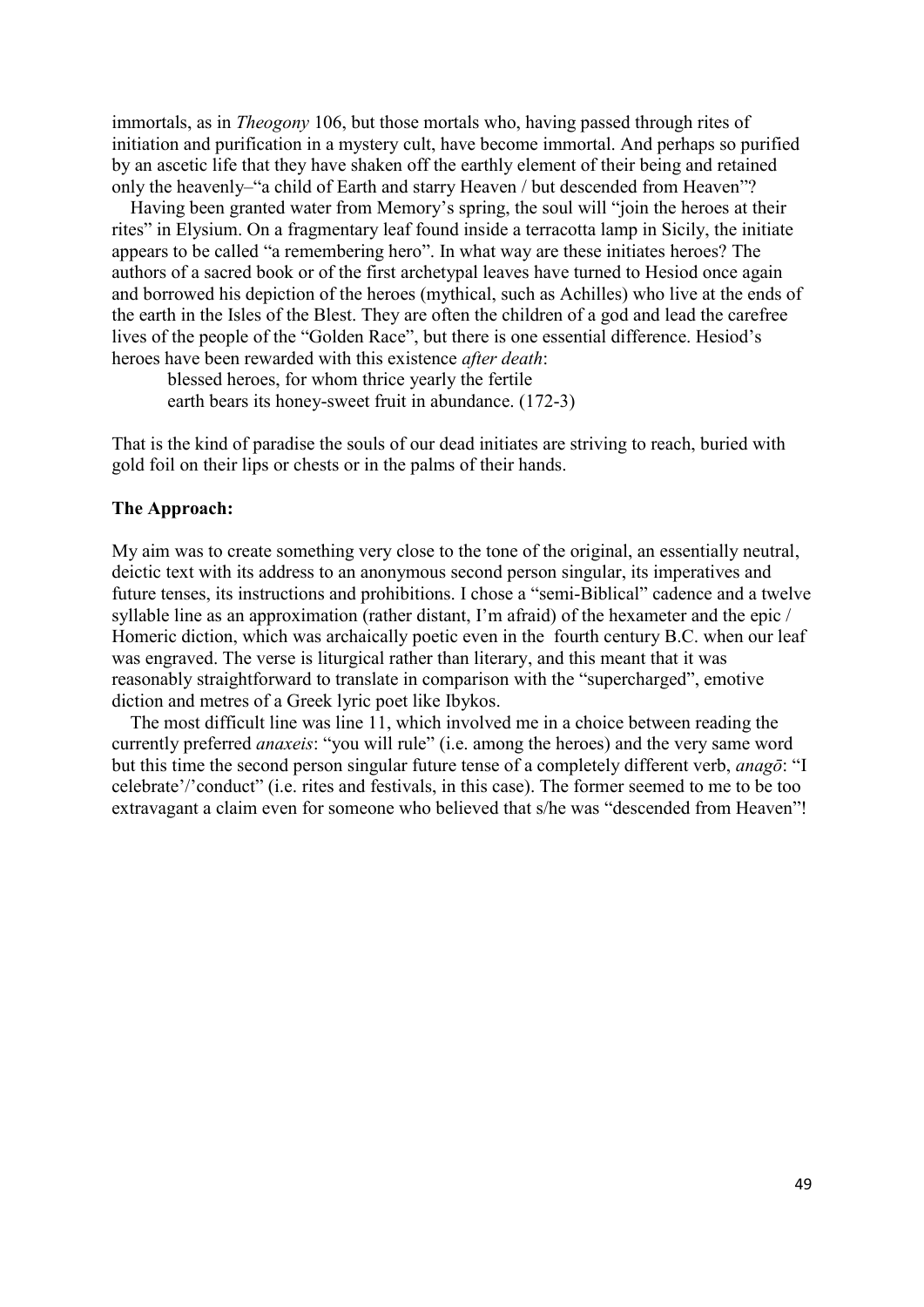immortals, as in *Theogony* 106, but those mortals who, having passed through rites of initiation and purification in a mystery cult, have become immortal. And perhaps so purified by an ascetic life that they have shaken off the earthly element of their being and retained only the heavenly–"a child of Earth and starry Heaven / but descended from Heaven"?

 Having been granted water from Memory's spring, the soul will "join the heroes at their rites" in Elysium. On a fragmentary leaf found inside a terracotta lamp in Sicily, the initiate appears to be called "a remembering hero". In what way are these initiates heroes? The authors of a sacred book or of the first archetypal leaves have turned to Hesiod once again and borrowed his depiction of the heroes (mythical, such as Achilles) who live at the ends of the earth in the Isles of the Blest. They are often the children of a god and lead the carefree lives of the people of the "Golden Race", but there is one essential difference. Hesiod's heroes have been rewarded with this existence *after death*:

 blessed heroes, for whom thrice yearly the fertile earth bears its honey-sweet fruit in abundance. (172-3)

That is the kind of paradise the souls of our dead initiates are striving to reach, buried with gold foil on their lips or chests or in the palms of their hands.

## **The Approach:**

My aim was to create something very close to the tone of the original, an essentially neutral, deictic text with its address to an anonymous second person singular, its imperatives and future tenses, its instructions and prohibitions. I chose a "semi-Biblical" cadence and a twelve syllable line as an approximation (rather distant, I'm afraid) of the hexameter and the epic / Homeric diction, which was archaically poetic even in the fourth century B.C. when our leaf was engraved. The verse is liturgical rather than literary, and this meant that it was reasonably straightforward to translate in comparison with the "supercharged", emotive diction and metres of a Greek lyric poet like Ibykos.

 The most difficult line was line 11, which involved me in a choice between reading the currently preferred *anaxeis*: "you will rule" (i.e. among the heroes) and the very same word but this time the second person singular future tense of a completely different verb, *anagō*: "I celebrate'/'conduct" (i.e. rites and festivals, in this case). The former seemed to me to be too extravagant a claim even for someone who believed that s/he was "descended from Heaven"!